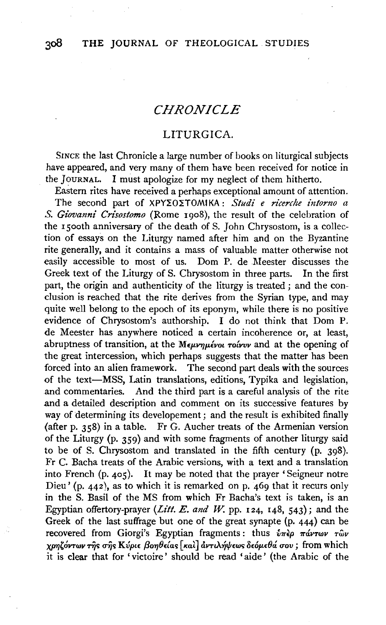# *CHRONICLE*

## LITURGICA.

SINCE the last Chronicle a large number of books on liturgical subjects have appeared, and very many of them have been received for notice in the JouRNAL. I must apologize for my neglect of them hitherto.

Eastern rites have received a perhaps exceptional amount of attention.

The second part of XPY*ZOZTOMIKA* : *Studi e ricerche intorno a S. Giovanni Crisostomo* (Rome rgo8), the result of the celebration of the 15ooth anniversary of the death of S. John Chrysostom, is a collection of essays on the Liturgy named after him and on the Byzantine rite generally, and it contains a mass of valuable matter otherwise not easily accessible to most of us. Dom P. de Meester discusses the Greek text of the Liturgy of S. Chrysostom in three parts. In the first part, the origin and authenticity of the liturgy is treated ; and the conclusion is reached that the rite derives from the Syrian type, and may quite well belong to the epoch of its eponym, while there is no positive evidence of Chrysostom's authorship. I do not think that Dom P. de Meester has anywhere noticed a certain incoherence or, at least, abruptness of transition, at the *Mεμνημένοι τοίνυν* and at the opening of the great intercession, which perhaps suggests that the matter has been forced into an alien framework. The second part deals with the sources of the text-MSS, Latin translations, editions, Typika and legislation, and commentaries. And the third part is a careful analysis of the rite and a detailed description and comment on its successive features by way of determining its developement; and the result is exhibited finally (after p. 358) in a table. Fr G. Aucher treats of the Armenian version of the Liturgy (p. 359) and with some fragments of another liturgy said to be of S. Chrysostom and translated in the fifth century (p. 398). Fr C. Bacha treats of the Arabic versions, with a text and a translation into French (p. 405). It may be noted that the prayer 'Seigneur notre Dieu' (p. 442), as to which it is remarked on p. 469 that it recurs only in the S. Basil of the MS from which Fr Bacha's text is taken, is an Egyptian offertory-prayer *(Lilt. E. and* W. pp. 124, 148, 543); and the Greek of the last suffrage but one of the great synapte (p. 444) can be recovered from Giorgi's Egyptian fragments: thus  $\hat{v}$ *r* $\hat{v}$ *p*  $\pi \hat{\alpha}$ *vrwv*  $\tau \hat{\omega}$ *v XJYYI'OV'TWV* '"i~ a-r;~ *Kvpt£* f3o7JfMa~ [ *Kal]* avTtA~l{l£w~ *8£op.£0a uov;* from which it is clear that for 'victoire' should be read 'aide' (the Arabic of the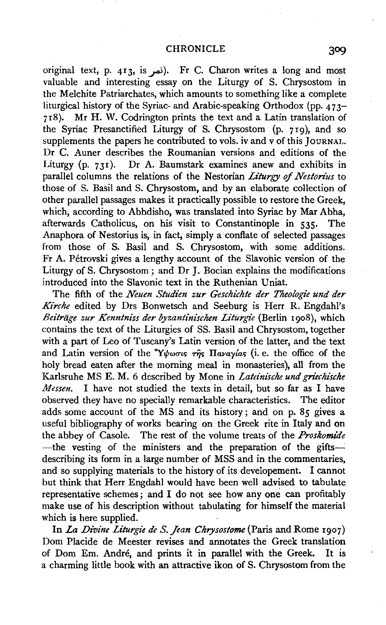original text, p. 413, is~). Fr C. Charon writes a long and most valuable and interesting essay on the Liturgy of S. Chrysostom in the Melchite Patriarchates, which amounts to something like a complete liturgical history of the Syriac- and Arabic-speaking Orthodox (pp.  $473-$ 718). Mr H. W. Codrington prints the text and a Latin translation of the Syriac Presanctified Liturgy of S. Chrysostom (p. 719), and so supplements the papers he contributed to vols. iv and v of this JOURNAL. Dr C. Auner describes the Roumanian versions and editions of the Liturgy (p. 731). Dr A. Baumstark examines anew and exhibits in parallel columns the relations of the Nestorian *Liturgy of Nestorius* to those of S. Basil and S. Chrysostom, and by an elaborate collection of other parallel passages makes it practically possible to restore the Greek, which, according to Abhdisho, was translated into Syriac by Mar Abha, afterwards Catholicus, on his visit to Constantinople in 535· The Anaphora of Nestorius is, in fact, simply a conflate of selected passages from those of S. Basil and S. Chrysostom, with some additions. Fr A. Petrovski gives a lengthy account of the Slavohic version of the Liturgy of S. Chrysostom ; and Dr J. Bocian explains the modifications introduced into the Slavonic text in the Ruthenian Uniat.

The fifth of the *Neuen Studien zur Geschichte der Theologie und der Kirche* edited by Drs Bonwetsch and Seeburg is Herr R. Engdahl's *Beitriige zur Kenntniss der byzantinischen Liturgie* (Berlin rgo8), which contains the text of the Liturgies of SS. Basil and Chrysostom, together with a part of Leo of Tuscany's Latin version of the latter, and the text and Latin version of the  $\gamma\psi_{\omega\sigma\iota\kappa}$  right  $\eta_{\alpha\alpha\gamma\iota\alpha\kappa}$  (i.e. the office of the holy bread eaten after the morning meal in monasteries), all from the Karlsruhe MS E. M. 6 described by Mone in *Lateinische und griechische Messen.* I have not studied the texts in detail, but so far as I have observed they have no specially remarkable characteristics. The editor adds some account of the MS and its history; and on p. 85 gives a useful bibliography of works bearing on the Greek rite in Italy and on the abbey of Casole. The rest of the volume treats of the *Proskomiae*  -the vesting of the ministers and the preparation of the giftsdescribing its form in a large number of MSS and in the commentaries, and so supplying materials to the history of its developement. I cannot but think that Herr Engdahl would have been well advised to tabulate representative schemes; and I do not see how any one can profitably make use of his description without tabulating for himself the material which is here supplied.

In *La Divine Liturgie de S. Jean Chrysostome* (Paris and Rome 1907) Dom Placide de Meester revises and annotates the Greek translation of Dom Em. Andre, and prints it in parallel with the Greek. It is a charming little book with an attractive ikon of S. Chrysostom from the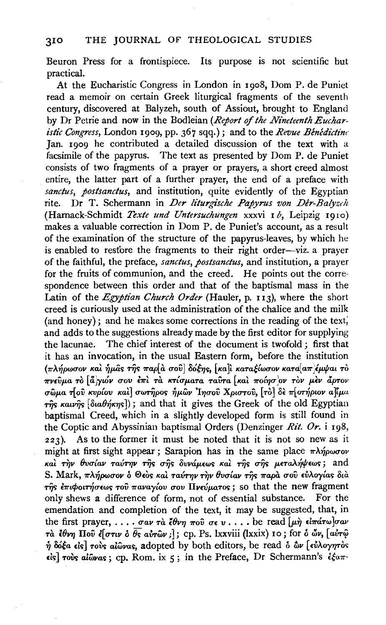#### 310 THE JOURNAL OF THEOLOGICAL STUDIES

Beuron Press for a frontispiece. Its purpose is not scientific but practical.

At the Eucharistic Congress in London in I go8, Dom P. de Puniet read a memoir on certain Greek liturgical fragments of the seventh century, discovered at Balyzeh, south of Assiout, brought to England by Dr Petrie and now in the Bodleian (Report of the Nineteenth Euchar*istic Congress,* London I909, pp. 367 sqq.); and to the *Revue Benedictim:*  Jan. I909 he contributed a detailed discussion of the text with a facsimile of the papyrus. The text as presented by Dom P. de Puniet consists of two fragments of a prayer or prayers, a short creed almost entire, the latter part of a further prayer, the end of a preface with *sanctus, postsanctus,* and institution, quite evidently of the Egyptian rite. Dr T. Schermann in *Der liturgische Papyrus von Der-Balyzdt*  (Harnack-Schmidt *Texte und Untersuchungen* xxxvi I b, Leipzig 1910) makes a valuable correction in Dom P. de Puniet's account, as a result of the examination of the structure of the papyrus-leaves, by which he is enabled to restore the fragments to their right order-viz. a prayer of the faithful, the preface, *sanctus, postsanctus,* and institution, a prayer for the fruits of communion, and the creed. He points out the correspondence between this order and that of the baptismal mass in the Latin of the *Egyptian Church Order* (Hauler, p. 113), where the short creed is curiously used at the administration of the chalice and the milk (and honey); and he makes some corrections in the reading of the text; and adds to the suggestions already made by the first editor for supplying the lacunae. The chief interest of the document is twofold ; first that it has an invocation, in the usual Eastern form, before the institution  $(\pi\lambda\eta\rho\omega\sigma$ ον και *ήμας της παρ*[α σου] δόξης, [κα]ι καταξίωσον κατα[απ έμψαι το <sup>~</sup>' ["l , , ' ' , .... [ ' , l ' ' , *11"V£vp.a* TO *ajytov UOV £11"t* TU *KTtUp.aTa TaVTa Kat 11"0t7JU\_OV TOV /)o£V apTOV σ*ωμα τίου κυρίου και σωτήρος ήμων Ιησού Χριστού, [το δε πίστήριον α]ίμα  $r\hat{\eta}s$   $\kappa a\nu\hat{\eta}s$  [ $\delta a\theta\hat{\eta}\kappa\eta s$ ]); and that it gives the Greek of the old Egyptian baptismal Creed, which in a slightly developed form is still found in the Coptic and Abyssinian baptismal Orders (Denzinger *Rit. Or.* i 198, 223). As to the former it must be noted that it is not so new as it might at first sight appear ; Sarapion has in the same place  $\pi\lambda\eta\rho\omega\sigma\sigma\nu$ *Kat rqv Bvu{av TaVT7JV nj<; u-ij<; 8vvap.£w<; Kat nj<;* 11'-ij<; p.£TaA~lf!£w<;; and S. Mark, πλήρωσον ο Θεός και ταύτην την θυσίαν της παρά σου ευλογίας δια  $\tau$ m<sup>s</sup>  $\epsilon \pi$ ιφοιτήσεως του παναγίου σου Πνεύματος; so that the new fragment only shews a difference of form, not of essential substance. For the emendation and completion of the text, it may be suggested, that, in the first prayer, ....  $\sigma \omega r \, \hat{d} \, \hat{\ell} \theta \nu \eta \pi \omega \, \hat{\sigma} \epsilon \, \nu \ldots$  be read  $[\mu \eta \, \hat{\epsilon} \hat{\ell} \pi \hat{\alpha} \tau \omega] \sigma \omega$ *τ*α *ίθνη* Που έ[στιν ο θς αυτῶν ;]; cp. Ps. lxxviii (lxxix) 10; for ο ών, [αυτώ  $\dot{\eta}$  do fa ds] rovs alwas, adopted by both editors, be read  $\dot{\delta}$   $\dot{\omega}$  ( $\dot{\epsilon}$ *i* $\lambda$ oy $\eta$ ròs  $\epsilon$ *is τούς αίωνας*; cp. Rom. ix 5; in the Preface, Dr Schermann's *έξαπ*-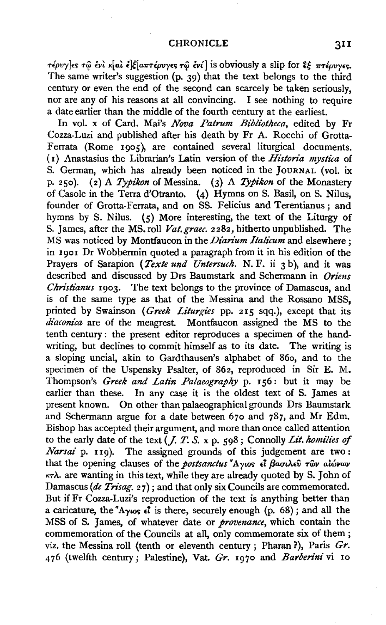#### CHRONICLE 31I

 $\tau$ έρυγ]*ες τ*ω ενι κ[αι ε]ξ[απτέρυγες τω ενί] is obviously a slip for  $\hat{\epsilon}$  πτέρυγες. The same writer's suggestion (p. 39) that the text belongs to the third century or even the end of the second can scarcely be taken seriously, nor are any of his reasons at all convincing. I see nothing to require a date earlier than the middle of the fourth century at the earliest.

In vol. x of Card. Mai's *Nova Patrum Bibliotheca,* edited by Fr Cozza-Luzi and published after his death by Fr A. Rocchi of Grotta-Ferrata (Rome 1905), are contained several liturgical documents. ( 1) Anastasius the Librarian's Latin version of the *Historia mystica* of S. German, which has already been noticed in the JOURNAL (vol. ix p. 25o). (2) A *Typikon* of Messina. (3) A *Typikon* of the Monastery of Casole in the Terra d'Otranto. (4) Hymns on S. Basil, on S. Nilus, founder of Grotta-Ferrata, and on SS. Felicius and Terentianus: and hymns by S. Nilus. (5} More interesting, the text of the Liturgy of S. James, after the MS. roll *Vat.graec.* 2282, hitherto unpublished. The MS was noticed by Montfaucon in the *Diarium Italicum* and elsewhere ; in 1901 Dr Wobbermin quoted a paragraph from it in his edition of the Prayers of Sarapion *(Texte und Untersuch. N. F. ii 3 b)*, and it was described and discussed by Drs Baumstark and Schermann in *Oriens Christianus* 1903. The text belongs to the province of Damascus, and is of the same type as that of the Messina and the Rossano MSS, printed by Swainson *(Greek Liturgies* pp. 215 sqq.), except that its *diaconica* are of the meagrest. Montfaucon assigned the MS to the tenth century : the present editor reproduces a specimen of the handwriting, but declines to commit himself as to its date. The writing is a sloping uncial, akin to Gardthausen's alphabet of 86o, and to the specimen of the Uspensky Psalter, of 862, reproduced in Sir E. M. Thompson's *Greek and Latin Palaeography* p. 156: but it may be earlier than these. In any case it is the oldest text of S. James at present known. On other than palaeographical grounds Drs Baumstark and Schermann argue for a date between 67o and 787, and Mr Edm. Bishop has accepted their argument, and more than once called attention to the early date of the text (J. T. *S.* x p. 598; Connolly *Lit. homilies of Narsai* p. 119). The assigned grounds of this judgement are two: that the opening clauses of the *postsanctus* <sup>4</sup>A<sub>Y*tos*  $\epsilon$ <sup>7</sup> *Baoulev Twv alwww*</sub>  $\kappa\tau\lambda$ . are wanting in this text, while they are already quoted by S. John of Damascus (de Trisag. 27); and that only six Councils are commemorated. But if Fr Cozza-Luzi's reproduction of the text is anything better than a caricature, the  $^7$ A $\gamma$ *u*<sub>2</sub>  $\epsilon$ *l* is there, securely enough (p. 68); and all the MSS of S. James, of whatever date or *provenance,* which contain the commemoration of the Councils at all, only commemorate six of them ; viz. the Messina roll (tenth or eleventh century; Pharan ?), Paris *Gr.*  476 (twelfth century; Palestine), Vat. *Gr.* 1970 and *Barberini* vi 10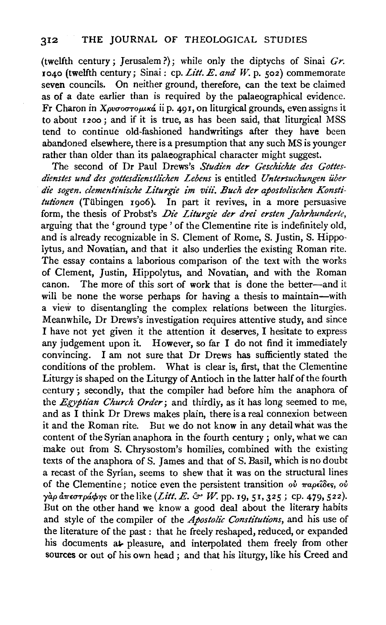(twelfth century; Jerusalem?}; while only the diptychs of Sinai *Gr.*  1040 (twelfth century; Sinai: cp. *Lilt. E. and W.* p. 502) commemorate seven councils. On neither ground, therefore, can the text be claimed as of a date earlier than is required by the palaeographical evidence. Fr Charon in *Χρυσοστομικά* ii p. 491, on liturgical grounds, even assigns it to about  $1200$ ; and if it is true, as has been said, that liturgical  $\overline{MSS}$ tend to continue old-fashioned handwritings after they have been abandoned elsewhere, there is a presumption that any such MS is younger rather than older than its palaeographical character might suggest.

The second of Dr Paul Drews's Studien der Geschichte des Gottes*dienstes und des gottesdi'enstli'chen Lebens* is entitled *Untersuchungen iiber*  die sogen. clementinische Liturgie im viii. Buch der apostolischen Konsti*tutionen* (Tiibingen rgo6). In part it revives, in a more persuasive form, the thesis of Probst's *Die Liturgie der drei ersten Jahrhunderte*, arguing that the 'ground type ' of the Clementine rite is indefinitely old, and is already recognizable in S. Clement of Rome, S. Justin, S. Hippolytus, and Novatian, and that it also underlies the existing Roman rite. The essay contains a laborious comparison of the text with the works of Clement, Justin, Hippolytus, and Novatian, and with the Roman canon. The more of this sort of work that is done the better-and it will be none the worse perhaps for having a thesis to maintain-with a view to disentangling the complex relations between the liturgies. Meanwhile, Dr Drews's investigation requires attentive study, and since I have not yet given it the attention it deserves, I hesitate to express any judgement upon it. However, so far I do not find it immediately convincing. I am not sure that Dr Drews has sufficiently stated the conditions of the problem. What is clear is, first, that the Clementine Liturgy is shaped on the Liturgy of Antioch in the latter half of the fourth century ; secondly, that the compiler had before him the anaphora of the *Egyptian Church Order;* and thirdly, as it has long seemed to me, and as I think Dr Drews makes plain, there is a real connexion between it and the Roman rite. But we do not know in any detail what was the content of the Syrian anaphora in the fourth century ; only, what we can make out from S. Chrysostom's homilies, combined with the existing texts of the anaphora of S. James and that of S. Basil, which is no doubt a recast of the Syrian, seems to shew that it was on the structural lines of the Clementine; notice even the persistent transition *ού παρείδες*, *ού γ*άρ ἀπεστράφης or the like (*Litt. E. & W.* pp. 19, 51, 325; cp. 479, 522). But on the other hand we know a good deal about the literary habits and style of the compiler of the *Apostolic Constitutions,* and his use of the literature of the past : that he freely reshaped, reduced, or expanded his documents at pleasure, and interpolated them freely from other sources or out of his own head ; and that his liturgy, like his Creed and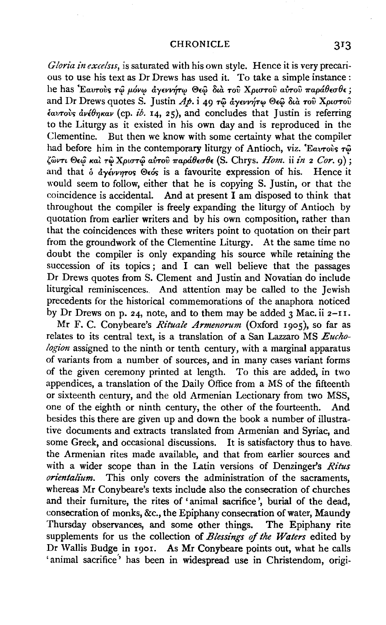#### CHRONICLE 3I3

*Gloria in excelsts,* is saturated with his own style. Hence it is very precarious to use his text as Dr Drews has used it. To take a simple instance : he has 'Εαυτούς τώ μόνω άγεννήτω Θεώ διά του Χριστου αύτου παράθεσθε; and Dr Drews quotes S. Justin  $A\phi$ . i 49  $\tau$ ω αγεννήτω Θεω δια του Χριστού *€avrov; avl87JKav* (cp. *ib.* 14, 25), and concludes that Justin is referring to the Liturgy as it existed in his own day and is reproduced in the Clementine. But then we know with some certainty what the compiler had before him in the contemporary liturgy of Antioch, viz. *'Eavro's*  $\tau \hat{\omega}$ {own *®£<f Kat* r~ *Xpturcfi* a~rov *7rapa8£u8£* (S. Chrys. *Hom.* ii *in* 2 *Cor.* 9) ; and that  $\delta$  *d*y*ivinos*  $\Theta$ <sub>6</sub>*is* a favourite expression of his. Hence it would seem to follow, either that he is copying S. Justin, or that the coincidence is accidental. And at present I am disposed to think that throughout the compiler is freely expanding the liturgy of Antioch by quotation from earlier writers and by his own composition, rather than that the coincidences with these writers point to quotation on their part from the groundwork of the Clementine Liturgy. At the same time no doubt the compiler is only expanding his source while retaining the succession of its topics; and  $\overline{I}$  can well believe that the passages Dr Drews quotes from S. Clement and Justin and Novatian do include liturgical reminiscences. And attention may be called to the Jewish precedents for the historical commemorations of the anaphora noticed by Dr Drews on p. 24, note, and to them may be added  $\frac{1}{3}$  Mac. ii 2-11.

Mr F. C. Conybeare's *Rituale Armenorum* (Oxford 1905), so far as relates to its central text, is a translation of a San Lazzaro MS *Euchologion* assigned to the ninth or tenth century, with a marginal apparatus of variants from a number of sources, and in many cases variant forms of the given ceremony printed at length. To this are added, in two appendices, a translation of the Daily Office from a MS of the fifteenth or sixteenth century, and the old Armenian Lectionary from two MSS, one of the eighth or ninth century, the other of the fourteenth. And besides this there are given up and down the book a number of illustrative documents and extracts translated from Armenian and Syriac, and some Greek, and occasional discussions. It is satisfactory thus to have. the Armenian rites made available, and that from earlier sources and with a wider scope than in the Latin versions of Denzinger's *Ritus orientalium.* This only covers the administration of the sacraments, whereas Mr Conybeare's texts include also the consecration of churches and their furniture, the rites of 'animal sacrifice', burial of the dead, consecration of monks, &c., the Epiphany consecration of water, Maundy Thursday observances, and some other things. The Epiphany rite supplements for us the collection of *Blessings of the Waters* edited by Dr Wallis Budge in 1901. As Mr Conybeare points out, what he calls 'animal sacrifice' has been in widespread use in Christendom, origi-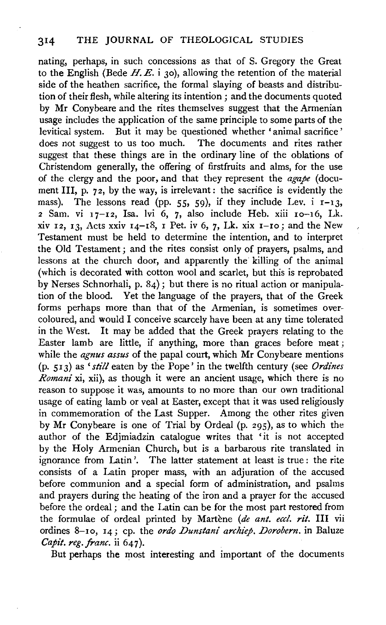nating, perhaps, in such concessions as that of S. Gregory the Great to the English (Bede H. E. i 30), allowing the retention of the material side of the heathen sacrifice, the formal slaying of beasts and distribution of their flesh, while altering its intention; and the documents quoted by Mr Conybeare and the rites themselves suggest that the Armenian usage includes the application of the same principle to some parts of the Ievitical system. But it may be questioned whether 'animal sacrifice' does not suggest to us too much. The documents and rites rather suggest that these things are in the ordinary line of the oblations of Christendom generally, the offering of firstfruits and alms, for the use of the clergy and the poor, and that they represent the *agape* (document III, p. 72, by the way, is irrelevant: the sacrifice is evidently the mass). The lessons read (pp. 55, 59), if they include Lev. i  $r-13$ ,  $2$  Sam. vi  $17-12$ , Isa. lvi 6, 7, also include Heb. xiii  $10-16$ , Lk. xiv 12, 13, Acts xxiv  $14-18$ , I Pet. iv 6, 7, Lk. xix  $1-10$ ; and the New Testament must be held to determine the intention, and to interpret the Old Testament; and the rites consist only of prayers, psalms, and lessons at the church door, and apparently the killing of the animal (which is decorated with cotton wool and scarlet, but this is reprobated by Nerses Schnorhali, p. 84); but there is no ritual action or manipulation of the blood. Yet the language of the prayers, that of the Greek forms perhaps more than that of the Armenian, is sometimes overcoloured, and would I conceive scarcely have been at any time tolerated in the West. It may be added that the Greek prayers relating to the Easter lamb are little, if anything, more than graces before meat; while the *agnus assus* of the papal court, which Mr Conybeare mentions (p. 5 I 3) as *'still* eaten by the Pope' in the twelfth century (see *Ordines Romani* xi, xii), as though it were an ancient usage, which there is no reason to suppose it was, amounts to no more than our own traditional usage of eating lamb or veal at Easter, except that it was used religiously in commemoration of the Last Supper. Among the other rites given by Mr Conybeare is one of Trial by Ordeal (p. 295), as to which the author of the Edjmiadzin catalogue writes that 'it is not accepted by the Holy Armenian Church, but is a barbarous rite translated in ignorance from Latin'. The latter statement at least is true: the rite consists of a Latin proper mass, with an adjuration of the accused before communion and a special form of administration, and psalms and prayers during the heating of the iron and a prayer for the accused before the ordeal ; and the Latin can be for the most part restored from the formulae of ordeal printed by Martene *(de ant. eccl. rit.* Ill vii ordines 8-10, 14; cp. the *ordo Dunstani archiep*. *Dorobern*. in Baluze *Capit. reg.franc.* ii 647).

But perhaps the most interesting and important of the documents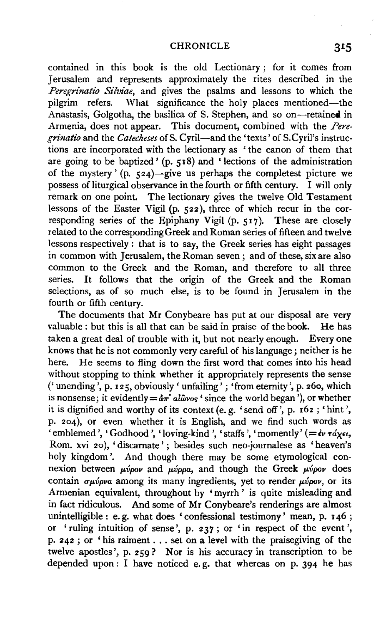contained in this book is the old Lectionary ; for it comes from Jerusalem and represents approximately the rites described in the *Peregrinatio Silviae*, and gives the psalms and lessons to which the pilgrim refers. What significance the holy places mentioned—the What significance the holy places mentioned-the Anastasis, Golgotha, the basilica of S. Stephen, and so on-retained in Armenia, does not appear. This document, combined with the *Pere*grinatio and the *Catecheses* of S. Cyril-and the 'texts' of S. Cyril's instructions are incorporated with the lectionary as ' the canon of them that are going to be baptized' (p. 518) and 'lections of the administration of the mystery' (p. 524)-give us perhaps the completest picture we possess of liturgical observance in the fourth or fifth century. I will only remark on one point. The lectionary gives the twelve Old Testament lessons of the Easter Vigil (p. 522), three of which recur in the corresponding series of the Epiphany Vigil (p. 517). These are closely related to the corresponding Greek and Roman series of fifteen and twelve lessons respectively : that is to say, the Greek series has eight passages in common with Jerusalem, the Roman seven ; and of these, six are also common to the Greek and the Roman, and therefore to all three series. It follows that the origin of the Greek and the Roman selections, as of so much else, is to be found in Jerusalem in the fourth or fifth century.

The documents that Mr Conybeare has put at our disposal are very valuable : but this is all that can be said in praise of the book. He has taken a great deal of trouble with it, but not nearly enough. Every one knows that he is not commonly very careful of his language; neither is he here. He seems to fling down the first word that comes into his head without stopping to think whether it appropriately represents the sense ('unending', p. 125, obviously' unfailing'; 'from eternity', p. 26o, which is nonsense; it evidently  $= \frac{\partial \pi}{\partial r} \cdot \frac{\partial \pi}{\partial \omega} \cdot \frac{\partial \pi}{\partial \omega}$  is nonsense; it evidently  $= \frac{\partial \pi}{\partial r} \cdot \frac{\partial \pi}{\partial \omega} \cdot \frac{\partial \pi}{\partial \omega}$  is nonsense; it is dignified and worthy of its context (e. g. 'send off', p. 162 ; 'hint', p. 204), or even whether it is English, and we find such words as  $\cdot$  emblemed ', 'Godhood', 'loving-kind', 'staffs', 'momently' (= $\epsilon$ v  $\tau$ á $\chi \epsilon t$ , Rom. xvi 20 ), 'discarnate' ; besides such neo-journalese as 'heaven's holy kingdom'. And though there may be some etymological connexion between  $\mu\nu\rho\no\nu$  and  $\mu\nu\rho\rho a$ , and though the Greek  $\mu\nu\rho o\nu$  does contain  $\sigma\mu\acute{\nu}\rho\nu\alpha$  among its many ingredients, yet to render  $\mu\acute{\nu}\rho\omicron\nu$ , or its Armenian equivalent, throughout by ' myrrh ' is quite misleading and in fact ridiculous. And some of Mr Conybeare's renderings are almost unintelligible: e.g. what does 'confessional testimony' mean, p. 146; or 'ruling intuition of sense', p. 237; or 'in respect of the event', p. 242 ; or 'his raiment ... set on a level with the praisegiving of the twelve apostles', p. 259? Nor is his accuracy in transcription to be depended upon: I have noticed e.g. that whereas on p. 394 he has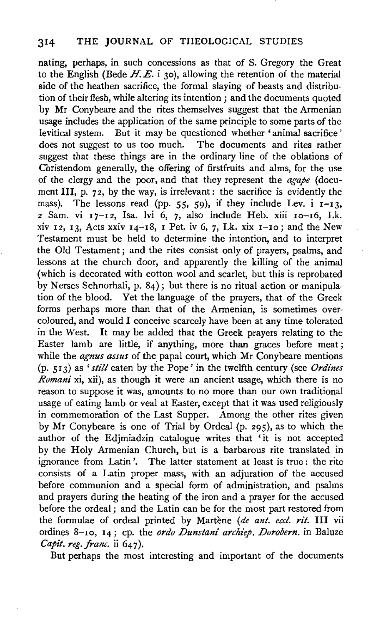nating, perhaps, in such concessions as that of S. Gregory the Great to the English (Bede  $H.E.$  i 30), allowing the retention of the material side of the heathen sacrifice, the formal slaying of beasts and distribution of their flesh, while altering its intention; and the documents quoted by Mr Conybeare and the rites themselves suggest that the Armenian usage includes the application of the same principle to some parts of the Ievitical system. But it may be questioned whether 'animal sacrifice' does not suggest to us too much. The documents and rites rather suggest that these things are in the ordinary line of the oblations of Christendom generally, the offering of firstfruits and alms, for the use of the clergy and the poor, and that they represent the *agape* (document III, p. 72, by the way, is irrelevant: the sacrifice is evidently the mass). The lessons read (pp. 55, 59), if they include Lev. i  $I-I3$ ,  $2$  Sam. vi  $17-12$ , Isa. lvi 6, 7, also include Heb. xiii  $10-16$ , Lk. xiv 12, 13, Acts xxiv  $14$ -18, 1 Pet. iv 6, 7, Lk. xix  $1$ -10; and the New Testament must be held to determine the intention, and to interpret the Old Testament; and the rites consist only of prayers, psalms, and lessons at the church door, and apparently the killing of the animal (which is decorated with cotton wool and scarlet, but this is reprobated by Nerses Schnorhali, p. 84); but there is no ritual action or manipulation of the blood. Yet the language of the prayers, that of the Greek forms perhaps more than that of the Armenian, is sometimes overcoloured, and would I conceive scarcely have been at any time tolerated in the West. It may be added that the Greek prayers relating to the Easter lamb are little, if anything, more than graces before meat; while the *agnus assus* of the papal court, which Mr Conybeare mentions (p. 513) as' *still* eaten by the Pope' in the twelfth century (see *Ordines Romani* xi, xii), as though it were an ancient usage, which there is no reason to suppose it was, amounts to no more than our own traditional usage of eating lamb or veal at Easter, except that it was used religiously in commemoration of the Last Supper. Among the other rites given by Mr Conybeare is one of Trial by Ordeal (p. 295), as to which the author of the Edjmiadzin catalogue writes that 'it is not accepted by the Holy Armenian Church, but is a barbarous rite translated in ignorance from Latin'. The latter statement at least is true: the rite consists of a Latin proper mass, with an adjuration of the accused before communion and a special form of administration, and psalms and prayers during the heating of the iron and a prayer for the accused before the ordeal ; and the Latin can be for the most part restored from the formulae of ordeal printed by Martene *(de ant. eccl. rit.* Ill vii ordines 8-Io, 14; cp. the *ordo Dunstani archiep. Dorobern.* in Baluze *Capit. reg.franc.* ii 647).

But perhaps the most interesting and important of the documents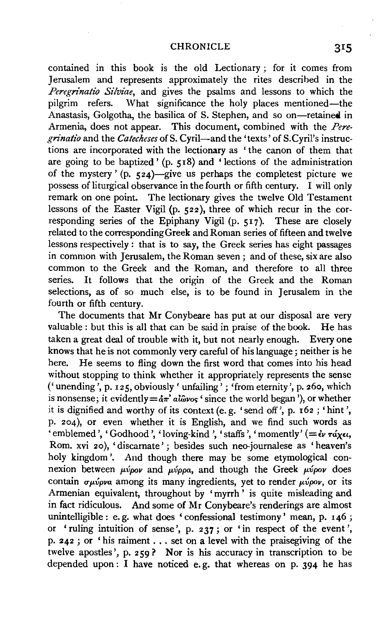contained in this book is the old Lectionary ; for it comes from Jerusalem and represents approximately the rites described in the *Peregrinatio Silviae,* and gives the psalms and lessons to which the What significance the holy places mentioned—the Anastasis, Golgotha, the basilica of S. Stephen, and so on-retained in Armenia, does not appear. This document, combined with the *Pere*grinatio and the *Catecheses* of S. Cyril-and the 'texts' of S. Cyril's instructions are incorporated with the lectionary as ' the canon of them that are going to be baptized' (p. 518) and 'lections of the administration of the mystery' (p.  $\frac{1}{24}$ )-give us perhaps the completest picture we possess of liturgical observance in the fourth or fifth century. I will only remark on one point. The lectionary gives the twelve Old Testament lessons of the Easter Vigil (p. 522), three of which recur in the corresponding series of the Epiphany Vigil (p. 517). These are closely related to the corresponding Greek and Roman series of fifteen and twelve lessons respectively : that is to say, the Greek series has eight passages in common with Jerusalem, the Roman seven ; and of these, six are also common to the Greek and the Roman, and therefore to all three series. It follows that the origin of the Greek and the Roman selections, as of so much else, is to be found in Jerusalem in the fourth or fifth century.

The documents that Mr Conybeare has put at our disposal are very valuable : but this is all that can be said in praise of the book. He has taken a great deal of trouble with it, but not nearly enough. Every one knows that he is not commonly very careful of his language ; neither is he here. He seems to fling down the first word that comes into his head without stopping to think whether it appropriately represents the sense ('unending', p. 125, obviously' unfailing'; 'from eternity', p. 26o, which is nonsense; it evidently  $=$  $\frac{d\pi}{d}$   $\frac{d\omega}{\omega}$   $\frac{d\omega}{d\omega}$  is the world began<sup>'</sup>), or whether it is dignified and worthy of its context(e.g. 'send off', p. 162; 'hint', p. 204), or even whether it is English, and we find such words as 'emblemed', 'Godhood', 'loving-kind', 'staffs', 'momently'  $(=\epsilon v \tau d \chi \epsilon t,$ Rom. xvi 20 ), 'discarnate' ; besides such neo-journalese as 'heaven's holy kingdom'. And though there may be some etymological connexion between *μύρον* and *μύρρα*, and though the Greek *μύρον* does contain  $\sigma\mu\acute{\nu}\rho\nu\alpha$  among its many ingredients, yet to render  $\mu\acute{\nu}\rho\omicron\nu$ , or its Armenian equivalent, throughout by 'myrrh ' is quite misleading and in fact ridiculous. And some of Mr Conybeare's renderings are almost unintelligible: e. g. what does 'confessional testimony' mean, p. 146; or 'ruling intuition of sense', p. 237; or 'in respect of the event', p. 242 ; or ' his raiment ... set on a level with the praisegiving of the twelve apostles', p. 259? Nor is his accuracy in transcription to be depended upon  $\overline{1}$  have noticed e.g. that whereas on p. 394 he has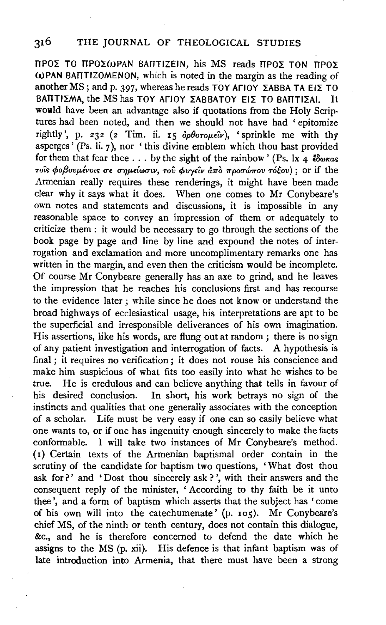### 316 THE JOURNAL OF THEOLOGICAL STUDIES

 $TTPOZ$  TO TTPO $\Sigma$ WPAN BATTIZEIN, his MS reads  $TPOZ$  TON TTPO $\Sigma$ WPAN BATTIZOMENON, which is noted in the margin as the reading of another MS; and p. 397, whereas he reads TOY AFIOY  $\overline{\text{ZABBA}}$  TA EIZ TO BATTIZMA, the MS has TOY AFIOY ZABBATOY EIZ TO BATTIZAI. It would have been an advantage also if quotations from the Holy Scriptures had been noted, and then we should not have had ' epitomize rightly', p. 232 (2 Tim. ii. 15  $\delta \rho \theta$ oro $\mu \epsilon \hat{u}$ ), 'sprinkle me with thy asperges' (Ps. li.  $7$ ), nor 'this divine emblem which thou hast provided for them that fear thee . . . by the sight of the rainbow' (Ps. lx 4  $\epsilon$   $\delta \omega \kappa a s$ )  $\tau$ οίς φοβουμένοις σε σημείωσιν, του φυγείν άπὸ προσώπου τόξου); or if the Armenian really requires these renderings, it might have been made clear why it says what it does. When one comes to Mr Conybeare's own notes and statements and discussions, it is impossible in any reasonable space to convey an impression of them or adequately to criticize them : it would be necessary to go through the sections of the book page by page and line by line and expound the notes of interrogation and exclamation and more uncomplimentary remarks one has written in the margin, and even then the criticism would be incomplete. Of course Mr Conybeare generally has an axe to grind, and he leaves the impression that he reaches his conclusions first and has recourse to the evidence later ; while since he does not know or understand the broad highways of ecclesiastical usage, his interpretations are apt to be the superficial and irresponsible deliverances of his own imagination. His assertions, like his words, are flung out at random; there is no sign of any patient investigation and interrogation of facts. A hypothesis is final ; it requires no verification ; it does not rouse his conscience and make him suspicious of what fits too easily into what he wishes to be true. He is credulous and can believe anything that tells in favour of his desired conclusion. In short, his work betrays no sign of the instincts and qualities that one generally associates with the conception of a scholar. Life must be very easy if one can so easily believe what one wants to, or if one has ingenuity enough sincerely to make the facts conformable. I will take two instances of Mr Conybeare's method. (I) Certain texts of the Armenian baptismal order contain in the scrutiny of the candidate for baptism two questions, 'What dost thou ask for?' and 'Dost thou sincerely ask?', with their answers and the consequent reply of the minister, ' According to thy faith be it unto thee', and a form of baptism which asserts that the subject has 'come of his own will into the catechumenate' (p. ros). Mr Conybeare's chief MS, of the ninth or tenth century, does not contain this dialogue, &c., and he is therefore concerned to defend the date which he assigns to the MS (p. xii). His defence is that infant baptism was of late introduction into Armenia, that there must have been a strong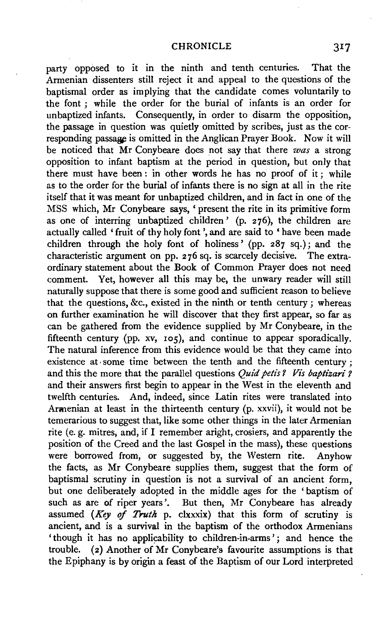party opposed to it in the ninth and tenth centuries. That the Armenian dissenters still reject it and appeal to the questions of the baptismal order as implying that the candidate comes voluntarily to the font ; while the order for the burial of infants is an order for unbaptized infants. Consequently, in order to disarm the opposition, the passage in question was quietly omitted by scribes, just as the corresponding passage is omitted in the Anglican Prayer Book. Now it will be noticed that Mr Conybeare does not say that there *was* a strong opposition to infant baptism at the period in question, but only that there must have been : in other words he has no proof of it ; while as to the order for the burial of infants there is no sign at all in the rite itself that it was meant for unbaptized children, and in fact in one of the MSS which, Mr Conybeare says, ' present the rite in its primitive form as one of interring unbaptized children' (p. 276), the children are actually called 'fruit of thy holy font ',and are said to 'have been made children through the holy font of holiness' (pp. 287 sq.); and the characteristic argument on pp. 2 76 sq. is scarcely decisive. The extraordinary statement about the Book of Common Prayer does not need comment. Yet, however all this may be, the unwary reader will still naturally suppose that there is some good and sufficient reason to believe that the questions, &c., existed in the ninth or tenth century ; whereas on further examination he will discover that they first appear, so far as can be gathered from the evidence supplied by Mr Conybeare, in the fifteenth century (pp. xv, 105), and continue to appear sporadically. The natural inference from this evidence would be that they came into existence at some time between the tenth and the fifteenth century ; and this the more that the parallel questions *Quid petis ? Vis baptizari ?* and their answers first begin to appear in the West in the eleventh and twelfth centuries. And, indeed, since Latin rites were translated into Armenian at least in the thirteenth century (p. xxvii), it would not be temerarious to suggest that, like some other things in the later Armenian rite (e. g. mitres, and, if I remember aright, crosiers, and apparently the position of the Creed and the last Gospel in the mass), these questions were borrowed from, or suggested by, the Western rite. Anyhow the facts, as Mr Conybeare supplies them, suggest that the form of baptismal scrutiny in question is not a survival of an ancient form, but one deliberately adopted in the middle ages for the ' baptism of such as are of riper years'. But then, Mr Conybeare has already assumed *(Key of Truth* p. clxxxix) that this form of scrutiny is ancient, and is a survival in the baptism of the orthodox Armenians 'though it has no applicability to children-in-arms'; and hence the trouble. (2) Another of Mr Conybeare's favourite assumptions is that the Epiphany is by origin a feast of the Baptism of our Lord interpreted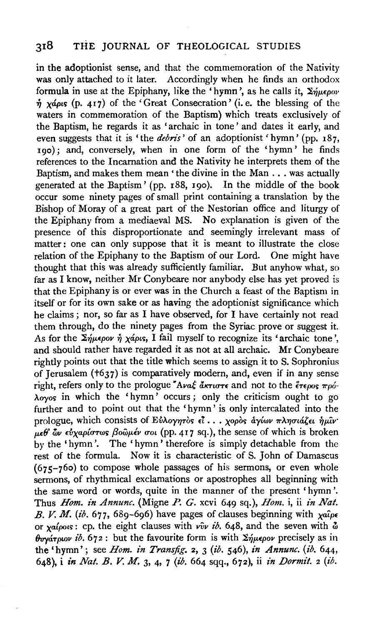in the adoptionist sense, and that the commemoration of the Nativity was only attached to it later. Accordingly when he finds an orthodox formula in use at the Epiphany, like the 'hymn', as he calls it,  $\Sigma \eta \mu \epsilon \rho \omega \nu$  $\eta$  *x*4ρις (p. 417) of the 'Great Consecration' (i.e. the blessing of the waters in commemoration of the Baptism) which treats exclusively of the Baptism, he regards it as 'archaic in tone' and dates it early, and even suggests that it is 'the *debris'* of an adoptionist 'hymn' (pp. 187, rgo); and, conversely, when in one form of the 'hymn' he finds references to the Incarnation and the Nativity he interprets them of the Baptism, and makes them mean 'the divine in the Man ... was actually generated at the Baptism' (pp. r88, rgo). In the middle of the book occur some ninety pages of small print containing a translation by the Bishop of Moray of a great part of the Nestorian office and liturgy of the Epiphany from a mediaeval MS. No explanation is given of the presence of this disproportionate and seemingly irrelevant mass of matter: one can only suppose that it is meant to illustrate the close relation of the Epiphany to the Baptism of our Lord. One might have thought that this was already sufficiently familiar. But anyhow what, so far as I know, neither Mr Conybeare nor anybody else has yet proved is that the Epiphany is or ever was in the Church a feast of the Baptism in itself or for its own sake or as having the adoptionist significance which he claims; nor, so far as I have observed, for I have certainly not read them through, do the ninety pages from the Syriac prove or suggest it. As for the  $\Sigma_{\eta\mu\epsilon\rho o\nu}$   $\eta$  *xapts*, I fail myself to recognize its 'archaic tone', and should rather have regarded it as not at all archaic. Mr Conybeare rightly points out that the title which seems to assign it to S. Sophronius of Jerusalem (t637) is comparatively modern, and, even if in any sense right, refers only to the prologue  $A\alpha\xi\ddot{\alpha}\pi\alpha\sigma\tau\epsilon$  and not to the  $\ddot{\epsilon}\tau\epsilon_{\alpha\alpha\beta}\dot{\tau}_{\alpha\beta}$  $\lambda_{\text{ovos}}$  in which the 'hymn' occurs; only the criticism ought to go further and to point out that the 'hymn ' is only intercalated into the prologue, which consists of Eυλογητος *εί... γορος αγίων πλησιάζει η μίν*·  $\mu \epsilon \theta$ ' ων εύχαρίστως βοῶμέν σοι (pp. 417 sq.), the sense of which is broken by the 'hymn '. The ' hymn ' therefore is simply detachable from the rest of the formula. Now it is characteristic of S. John of Damascus  $(675 - 760)$  to compose whole passages of his sermons, or even whole sermons, of rhythmical exclamations or apostrophes all beginning with the same word or words, quite in the manner of the present 'hymn'. Thus *Hom. in Annunc.* (Migne P. *G.* xcvi 649 sq.), *Hom.* i, ii *in Nat.*  B. V. M. (ib.  $677, 689-696$ ) have pages of clauses beginning with  $x^{a}$ or *xa{pous*: cp. the eight clauses with  $\hat{v}v$  *ib.* 648, and the seven with  $\hat{\omega}$  $\theta$ *uvárplov ib.*  $672$ : but the favourite form is with  $\Sigma \eta \mu \epsilon \rho \partial \nu$  precisely as in the 'hymn'; see *Hom. in Transjig.* 2, 3 *(ib.* 546), *in Annunc. (ib.* 644, 648), i *in Nat. B. V. M.* 3, 4, 7 (ib. 664 sqq., 672), ii *in Dormit.* 2 *(ib.*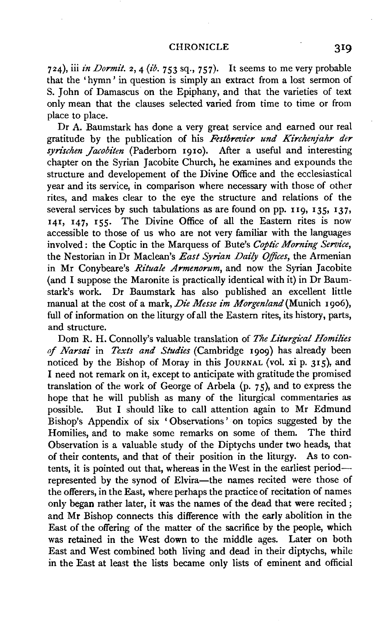#### CHRONICLE 319

724), iii *in Dormit.* 2, 4 *(ib.* 753 sq., 757). It seems to me very probable that the 'hymn' in question is simply an extract from a lost sermon of S. John of Damascus on the Epiphany, and that the varieties of text only mean that the clauses selected varied from time to time or from place to place.

Dr A. Baumstark has done a very great service and earned our real gratitude by the publication of his *Festbrevier und Kirchenjahr der*  syrischen *Jacobiten* (Paderborn 1910). After a useful and interesting chapter on the Syrian Jacobite Church, he examines and expounds the structure and developement of the Divine Office and the ecclesiastical year and its service, in comparison where necessary with those of other rites, and makes clear to the eye the structure and relations of the several services by such tabulations as are found on pp. 119, 135, 137, 141, 147, I55· The Divine Office of all the Eastern rites is now accessible to those of us who are not very familiar with the languages involved : the Coptic in the Marquess of Bute's Coptic Morning Service, the Nestorian in Dr Maclean's *East Syrian Daily Offices,* the Armenian in Mr Conybeare's *Rituale Armenorum,* and now the Syrian Jacobite (and I suppose the Maronite is practically identical with it) in Dr Baumstark's work. Dr Baumstark has also published an excellent little manual at the cost of a mark, *Die Messe im Morgenland(Munich* 1906), full of information on the liturgy of all the Eastern rites, its history, parts, and structure.

Dom R. H. Connolly's valuable translation of *The Liturgical Homilies of Narsai* in *Texts and Studies* (Cambridge 1909) has already been noticed by the Bishop of Moray in this JoURNAL (vol. xi p. 315), and I need not remark on it, except to anticipate with gratitude the promised translation of the work of George of Arbela  $(p, 75)$ , and to express the hope that he will publish as many of the liturgical commentaries as possible. But I should like to call attention again to Mr Edmund Bishop's Appendix of six ' Observations' on topics suggested by the Homilies, and to make some remarks on some of them. The third Observation is a valuable study of the Diptychs under two heads, that of their contents, and that of their position in the liturgy. As to contents, it is pointed out that, whereas in the West in the earliest periodrepresented by the synod of Elvira-the names recited were those of the offerers, in the East, where perhaps the practice of recitation of names only began rather later, it was the names of the dead that were recited ; and Mr Bishop connects this difference with the early abolition in the East of the offering of the matter of the sacrifice by the people, which was retained in the West down to the middle ages. Later on both East and West combined both living and dead in their diptychs, while in the East at least the lists became only lists of eminent and official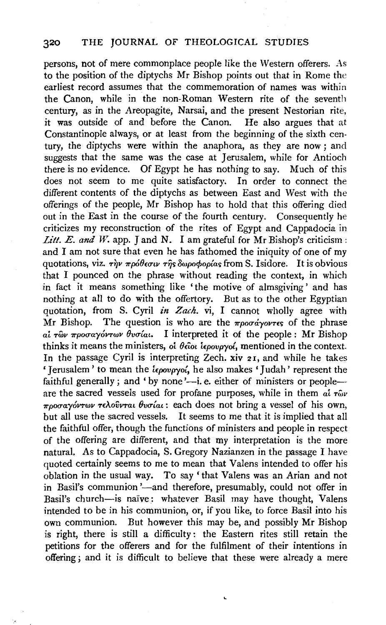persons, not of mere commonplace people like the Western offerers. As to the position of the diptychs Mr Bishop points out that in Rome the earliest record assumes that the commemoration of names was within the Canon, while in the non-Roman Western rite of the seventh century, as in the Areopagite, Narsai, and the present Nestorian rite, it was outside of and before the Canon. He also argues that at Constantinople always, or at least from the beginning of the sixth century, the diptychs were within the anaphora, as they are now ; and suggests that the same was the case at Jerusalem, while for Antioch there is no evidence. Of Egypt he has nothing to say. Much of this does not seem to me quite satisfactory. In order to connect the different contents of the diptychs as between East and West with the offerings of the people, Mr Bishop has to hold that this offering died out in the East in the course of the fourth century. Consequently he criticizes my reconstruction of the rites of Egypt and Cappadocia in *Litt. E. and W.* app.  $\check{\ }$  and N. I am grateful for Mr Bishop's criticism : and I am not sure that even he has fathomed the iniquity of one of my quotations, viz. την πρόθεσιν της δωροφορίας from S. Isidore. It is obvious that I pounced on the phrase without reading the context, in which in fact it means something like 'the motive of almsgiving' and has nothing at all to do with the offertory. But as to the other Egyptian quotation, from S. Cyril *in Zach*. vi, I cannot wholly agree with Mr Bishop. The question is who are the  $\pi$ *poor avova* respect the phrase *ai -rwv 7rpocrayov-rwv Ovcrlat.* I interpreted it of the people : Mr Bishop thinks it means the ministers, *oi 8£iot iEpovpyol,* mentioned in the context. In the passage Cyril is interpreting Zech. xiv 21, and while he takes the passage Cyril is interpreting *Lech*, xiv 21, and while he takes erusalem 'to mean the *iepovoyoi*, he also makes 'Judah' represent the faithful generally; and 'by none'—i. e. either of ministers or people—are the sacred vessels used for profane purposes, while in them  $a\bar{i} \tau \hat{\omega} \nu$ *7rpocrat Called Vessels doed for protatic purposes*, while it then it at rate of the state of the state of the state of the state of the state of the state of the state of the state of the state of the state of the state but all use the sacred vectors. Each does not bring a vessel of his own,  $\frac{1}{2}$  and  $\frac{1}{2}$  are that  $\frac{1}{2}$  and  $\frac{1}{2}$  and  $\frac{1}{2}$  are that  $\frac{1}{2}$  and  $\frac{1}{2}$  and  $\frac{1}{2}$  and  $\frac{1}{2}$  and  $\frac{1}{2}$  an but all use the sacred vessels. It seems to me that it is implied that all the faithful offer, though the functions of ministers and people in respect of the offering are different, and that my interpretation is the more natural. As to Cappadocia, S. Gregory Nazianzen in the passage I have quoted certainly seems to me to mean that Valens intended to offer his oblation in the usual way. To say' that Valens was an Arian and not in Basil's communion '-and therefore, presumably, could not offer in Basil's church-is naive: whatever Basil may have thought, Valens intended to be in his communion, or, if you like, to force Basil into his own communion. But however this may be, and possibly Mr Bishop is right, there is still a difficulty: the Eastern rites still retain the petitions for the offerers and for the fulfilment of their intentions in offering; and it is difficult to believe that these were already a mere

L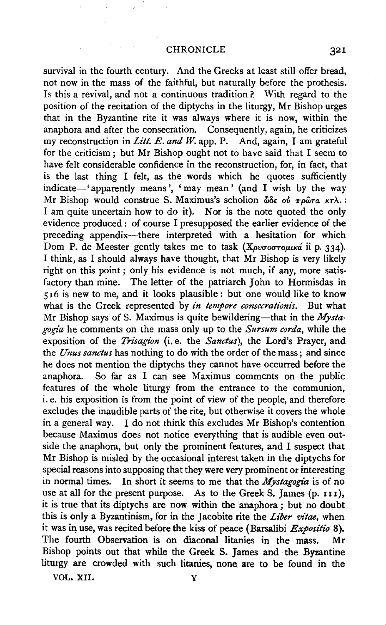survival in the fourth century. And the Greeks at least still offer bread, not now in the mass of the faithful, but naturally before the prothesis. Is this a revival, and not a continuous tradition?. With regard to the position of the recitation of the diptychs in the liturgy, Mr Bishop urges that in the Byzantine rite it was always where it is now, within the anaphora and after the consecration, Consequently, again, he criticizes my reconstruction in *Lift. E. and W.* app. P. And, again, I am grateful for the criticism; but Mr Bishop ought not to have said that I seem to have felt considerable confidence in the reconstruction, for, in fact, that is the last thing I felt, as the words which he quotes sufficiently indicate-' apparently means', 'may mean' (and I wish by the way Mr Bishop would construe S. Maximus's scholion  $\delta \delta \epsilon$  of  $\pi \rho \hat{\omega} \tau \alpha \kappa \tau \lambda$ . I am quite uncertain how to do it). Nor is the note quoted the only evidence produced : of course I presupposed the earlier evidence of the preceding appendix-there interpreted with a hesitation for which Dom P. de Meester gently takes me to task (Xpv $\sigma$ o $\sigma$ routka ii p. 334). I think, as I should always have thought, that Mr Bishop is very likely right on this point ; only his evidence is not much, if any, more satisfactory than mine. The letter of the patriarch John to Hormisdas in 516 is new to me, and it looks plausible: but one would like to know what is the Greek represented by *in tempore consecrationis.* But what Mr Bishop says of S. Maximus is quite bewildering—that in the *Mystagogia* he comments on the mass only up to the *Sursum corda,* while the exposition of the *Trisagion* (i.e. the *Sanctus),* the Lord's Prayer, and the *Unus sanctus* has nothing to do with the order of the mass; and since he does not mention the diptychs they cannot have occurred before the anaphora. So far as I can see Maximus comments on the public features of the whole liturgy from the entrance to the communion, i.e. his exposition is from the point of view of the people, and therefore excludes the inaudible parts of the rite, but otherwise it covers the whole in a general way. I do not think this excludes Mr Bishop's contention because Maximus does not notice everything that is audible even outside the anaphora, but only the prominent features, and I suspect that Mr Bishop is misled by the occasional interest taken in the diptychs for special reasons into supposing that they were very prominent or interesting in normal times. In short it seems to me that the *Mystagogia* is of no use at all for the present purpose. As to the Greek S. James  $(p, 111)$ , it is true that its diptychs are now within the anaphora ; but no doubt this is only a Byzantinism, for in the Jacobite rite the *Liber vitae,* when it was in use, was recited before the kiss of peace (Barsalibi  $Expositio 8$ ). The fourth Observation is on diaconal litanies in the mass. Mr Bishop points out that while the Greek S. James and the Byzantine liturgy are crowded with such litanies, none are to be found in the

VOL. XII. Y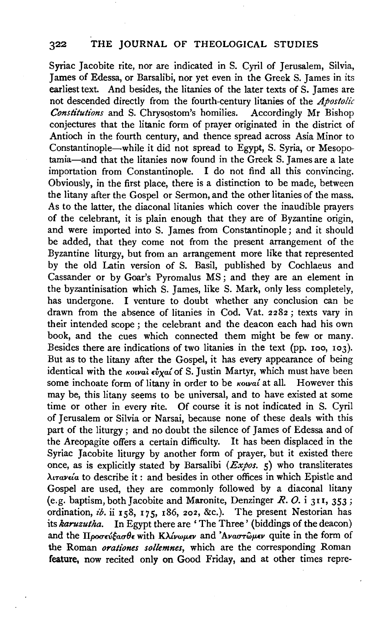Syriac Jacobite rite, nor are indicated in S. Cyril of Jerusalem, Silvia, James of Edessa, or Barsalibi, nor yet even in the Greek S. James in its earliest text. And besides, the litanies of the later texts of S. James are not descended directly from the fourth-century litanies of the *Apostolic Constitutions* and S. Chrysostom's homilies. conjectures that the litanic form of prayer originated in the district of Antioch in the fourth century, and thence spread across Asia Minor to Constantinople-while it did not spread to Egypt, S. Syria, or Mesopotamia-and that the litanies now found in the Greek S. James are a late importation from Constantinople. I do not find all this convincing. Obviously, in the first place, there is a distinction to be made, between the litany after the Gospel or Sermon, and the other litanies of the mass. As to the latter, the diaconal litanies which cover the inaudible prayers of the celebrant, it is plain enough that they are of Byzantine origin, and were imported into S. James from Constantinople; and it should be added, that they come not from the present arrangement of the Byzantine liturgy, but from an arrangement more like that represented by the old Latin version of S. Basil, published by Cochlaeus and Cassander or by Goar's Pyromalus MS ; and they are an element in the byzantinisation which S. James, like S. Mark, only less completely, has undergone. I venture to doubt whether any conclusion can be drawn from the absence of litanies in Cod. Vat. 2282; texts vary in their intended scope ; the celebrant and the deacon each had his own book, and the cues which connected them might be few or many. Besides there are indications of two litanies in the text (pp. xoo, 103). But as to the litany after the Gospel, it has every appearance of being identical with the *Kotval eval of* S. Justin Martyr, which must have been some inchoate form of litany in order to be *kowal* at all. However this may be, this litany seems to be universal, and to have existed at some time or other in every rite. Of course it is not indicated in S. Cyril of Jerusalem or Silvia or Narsai, because none of these deals with this part of the liturgy ; and no doubt the silence of James of Edessa and of the Areopagite offers a certain difficulty. It has been displaced in the Syriac Jacobite liturgy by another form of prayer, but it existed there once, as is explicitly stated by Barsalibi *(Expos.* 5) who transliterates *Atmv£la* to describe it : and besides in other offices in which Epistle and Gospel are used, they are commonly followed by a diaconal litany (e.g. baptism, both Jacobite and Maronite, Denzinger *R. 0.* i 311, 353; ordination, *ib.* ii 158, 175, 186, 202, &c.). The present Nestorian has its *karuzutha.* In Egypt there are 'The Three' (biddings of the deacon) and the Προσεύξασθε with *Κλίνωμεν* and 'Αναστώμεν quite in the form of the Roman *orationes sollemnes,* which are the corresponding Roman feature, now recited only on Good Friday, and at other times repre-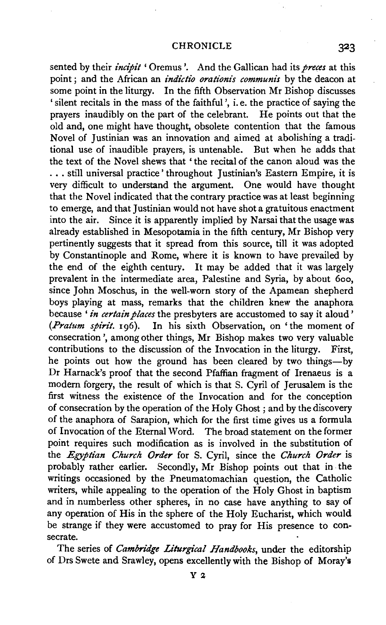#### CHRONICLE 323

sented by their *incipit* ' Oremus '. And the Gallican had its *preces* at this point; and the African an *indictio orationis communis* by the deacon at some point in the liturgy. In the fifth Observation Mr Bishop discusses 'silent recitals in the mass of the faithful', i.e. the practice of saying the prayers inaudibly on the part of the celebrant. He points out that the old and, one might have thought, obsolete contention that the famous Novel of Justinian was an innovation and aimed at abolishing a traditional use of inaudible prayers, is untenable. But when he adds that the text of the Novel shews that 'the recital of the canon aloud was the ... still universal practice' throughout Justinian's Eastern Empire, it is very difficult to understand the argument. One would have thought that the Novel indicated that the contrary practice was at least beginning to emerge, and that Justinian would not have shot a gratuitous enactment into the air. Since it is apparently implied by Narsai that the usage was already established in Mesopotamia in the fifth century, Mr Bishop very pertinently suggests that it spread from this source, till it was adopted by Constantinople and Rome, where it is known to have prevailed by the end of the eighth century. It may be added that it was largely prevalent in the intermediate area, Palestine and Syria, by about 600, since John Moschus, in the well-worn story of the Apamean shepherd boys playing at mass, remarks that the children knew the anaphora because *'in certain places* the presbyters are accustomed to say it aloud' *(Pratum spirit.* 196). In his sixth Observation, on 'the moment of consecration ', among other things, Mr Bishop makes two very valuable contributions to the discussion of the Invocation in the liturgy. First, he points out how the ground has been cleared by two things-by Dr Harnack's proof that the second Pfaffian fragment of Irenaeus is a modern forgery, the result of which is that S. Cyril of Jerusalem is the first witness the existence of the Invocation and for the conception of consecration by the operation of the Holy Ghost ; and by the discovery of the anaphora of Sarapion, which for the first time gives us a formula of Invocation of the Eternal Word. The broad statement on the former point requires such modification as is involved in the substitution of the *Egyptian Church Order* for S. Cyril, since the *Church Order* is probably rather earlier. Secondly, Mr Bishop points out that in the writings occasioned by the Pneumatomachian question, the Catholic writers, while appealing to the operation of the Holy Ghost in baptism and in numberless other spheres, in no case have anything to say of any operation of His in the sphere of the Holy Eucharist, which would be strange if they were accustomed to pray for His presence to consecrate.

The series of *Cambridge Liturgical Handbooks,* under the editorship of Drs Swete and Srawley, opens excellently with the Bishop of Moray's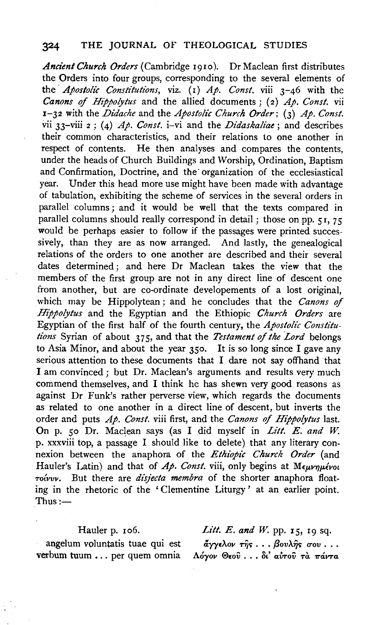### 324 THE JOURNAL OF THEOLOGICAL STUDIES

*Ancient Church Orders* (Cambridge 1910). Dr Maclean first distributes the Orders into four groups, corresponding to the several elements of the *Apostolic Constitutions*, viz. (1) Ap. Const. viii 3-46 with the *Canons of Hippolytus* and the allied documents; (2) *Ap. Const.* vii 1-32 with the *Didache* and the *Apostolic Church Order;* (3) *Ap. Const.*  vii 33-viii 2 ; (4) *Ap. Const.* i-vi and the *Didaskaliae;* and describes their common characteristics, and their relations to one another in respect of contents. He then analyses and compares the contents, under the heads of Church Buildings and Worship, Ordination, Baptism and Confirmation, Doctrine, and the organization of the ecclesiastical year. Under this head more use might have been made with advantage of tabulation, exhibiting the scheme of services in the several orders in parallel columns; and it would be well that the texts compared in parallel columns should really correspond in detail; those on pp.  $51$ , 75 would be perhaps easier to follow if the passages were printed successively, than they are as now arranged. And lastly, the genealogical relations of the orders to one another are described and their several dates determined ; and here Dr Maclean takes the view that the members of the first group are not in any direct line of descent one from another, but are co-ordinate developements of a lost original, which may be Hippolytean; and he concludes that the *Canons of Hippolytus* and the Egyptian and the Ethiopic *Church Orders* are Egyptian of the first half of the fourth century, the *Apostolic Constitutions* Syrian of about 375, and that the *Testament of the Lord* belongs to Asia Minor, and about the year 350. It is so long since I gave any serious attention to these documents that I dare not say offhand that I am convinced ; but Dr. Maclean's arguments and results very much commend themselves, and I think he has shewn very good reasons as against Dr Funk's rather perverse view, which regards the documents as related to one another in a direct line of descent, but inverts the order and puts *Ap. Cons!.* viii first, and the *Canons of Hippolytus* last. On p. 50 Dr. Maclean says (as I did myself in *Litt. E. and W.* p. xxxviii top, a passage I should like to delete) that any literary connexion between the anaphora of the *Ethiopic Church Order* (and Hauler's Latin) and that of *Ap. Const.* viii, only begins at  $M_{\epsilon\mu\nu\eta\mu\epsilon\nu o\iota}$ *To{vvv.* But there are *disjecta membra* of the shorter anaphora floating in the rhetoric of the ' Clementine Liturgy ' at an earlier point.  $Thus:$ 

#### Hauler p. 106.

angelum voluntatis tuae qui est verbum tuum ... per quem omnia

Litt. E. and W. pp. 15, 19 sq.  $\tilde{\alpha}$ γγελον της . . . βουλης σου . . . *A6yov ®£ov* . • • *8t' awov* Ta *'l!"aVTa*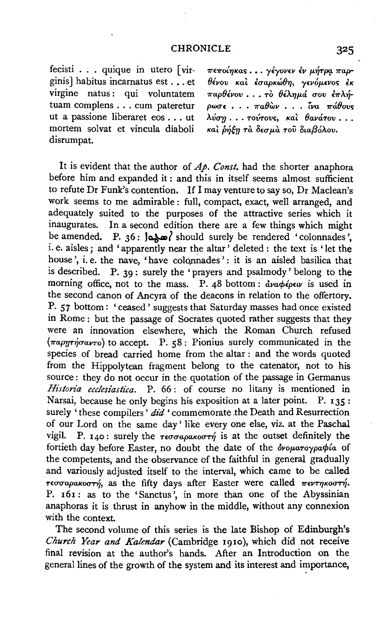### CHRONICLE 325

fecisti . . . quique in utero [virginis] habitus incarnatus est . . . et virgine natus: qui voluntatem tuam complens ... cum pateretur ut a passione liberaret eos ... ut mortem solvat et vincula diaboli disrumpat.

*7r£7rOL'fJKar;* ••. *yiyov£v £v* JL~T(Kl. *7rap-8ivov Kat £uapKw8'fJ, y£v6p.£vor; £K*   $\pi a \rho \theta \epsilon \nu \nu \ldots \tau \delta \theta \epsilon \lambda \eta \mu \alpha \ \sigma \nu \ \epsilon \pi \lambda \eta$ *pwcu* • . • *1ra8wv* • . . *i."va 1ra8ovs λύση* ... τούτους, και θανάτου ... *Kal.* Pfltrl *ra O£up.a roil ota{36A.ov.* 

It is evident that the author of *Ap. Const.* had the shorter anaphora before him and expanded it : and this in itself seems almost sufficient to refute Dr Funk's contention. If I may venture to say so, Dr Maclean's work seems to me admirable: full, compact, exact, well arranged, and adequately suited to the purposes of the attractive series which it inaugurates. In a second edition there are a few things which might be amended. P. 36:  $\frac{1}{2}$  should surely be rendered 'colonnades', i. e. aisles ; and 'apparently near the altar' deleted : the text is 'let the house', i.e. the nave, 'have colonnades': it is an aisled basilica that is described. P. 39 : surely the 'prayers and psalmody' belong to the morning office, not to the mass. P. 48 bottom:  $\frac{\partial y}{\partial x}$  *dva* $\phi \frac{\partial \phi}{\partial y}$  is used in the second canon of Ancyra of the deacons in relation to the offertory. P. 57 bottom: 'ceased' suggests that Saturday masses had once existed in Rome: but the passage of Socrates quoted rather suggests that they were an innovation elsewhere, which the Roman Church refused  $(\pi a \rho \eta \tau \eta \sigma a \nu \tau o)$  to accept. P. 58: Pionius surely communicated in the species of bread carried home from the altar : and the words quoted from the Hippolytean fragment belong to the catenator, not to his source : they do not occur in the quotation of the passage in Germanus Historia ecclesiastica. P. 66: of course no litany is mentioned in Narsai, because he only begins his exposition at a later point. P. 135: surely 'these compilers'  $di\tilde{d}$  'commemorate the Death and Resurrection of our Lord on the same day' like every one else, viz. at the Paschal vigil. P. 140: surely the  $\tau \in \sigma \sigma a \rho a \kappa \sigma \sigma \tau \eta$  is at the outset definitely the fortieth day before Easter, no doubt the date of the *dvouaroypachia* of the competents, and the observance of the faithful in general gradually and variously adjusted itself to the interval, which came to be called  $τ$ εσσαρακοστή, as the fifty days after Easter were called πεντηκοστή. P. 161: as to the 'Sanctus', in more than one of the Abyssinian anaphoras it is thrust in anyhow in the middle, without any connexion with the context.

The second volume of this series is the late Bishop of Edinburgh's *Church Year and Kalendar* (Cambridge 191o), which did not receive final revision at the author's hands. After an Introduction on the general lines of the growth of the system and its interest and importance,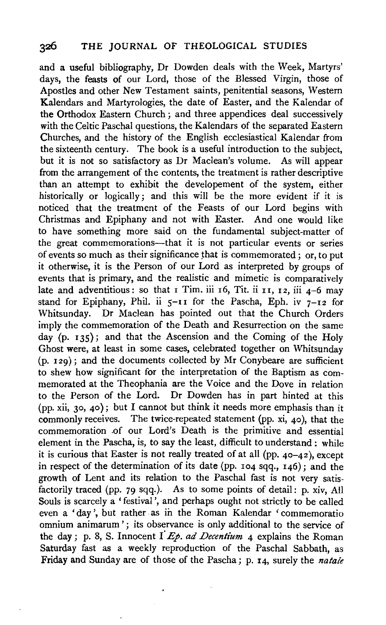and a useful bibliography, Dr Dowden deals with the Week, Martyrs' days, the feasts of our Lord, those of the Blessed Virgin, those of Apostles and other New Testament saints, penitential seasons, Western Kalendars and Martyrologies, the date of Easter, and the Kalendar of the Orthodox Eastern Church ; and three appendices deal successively with the Celtic Paschal questions, the Kalendars of the separated Eastern Churches, and the history of the English ecclesiastical Kalendar from the sixteenth century. The book is a useful introduction to the subject, but it is not so satisfactory as Dr Maclean's volume. As will appear from the arrangement of the contents, the treatment is rather descriptive than an attempt to exhibit the developement of the system, either historically or logically; and this will be the more evident if it is noticed that the treatment of the Feasts of our Lord begins with Christmas and Epiphany and not with Easter. And one would like to have something more said on the fundamental subject-matter of the great commemorations---that it is not particular events or series of events so much as their significance that is commemorated; or, to put it otherwise, it is the Person of our Lord as interpreted by groups of events that is primary, and the realistic and mimetic is comparatively late and adventitious: so that  $I$  Tim. iii  $I$  of, Tit. ii  $I$   $I$ ,  $I$   $2$ ,  $I$ iii  $A-6$  may stand for Epiphany, Phil. ii  $5-11$  for the Pascha, Eph. iv  $7-12$  for Whitsunday. Dr Maclean has pointed out that the Church Orders imply the commemoration of the Death and Resurrection on the same day (p. 135); and that the Ascension and the Coming of the Holy Ghost were, at least in some cases, celebrated together on Whitsunday  $(p, 129)$ ; and the documents collected by Mr Conybeare are sufficient to shew how significant for the interpretation of the Baptism as commemorated at the Theophania are the Voice and the Dove in relation to the Person of the Lord. Dr Dowden has in part hinted at this (pp. xii, 30, 40); but I cannot but think it needs more emphasis than it commonly receives. The twice-repeated statement (pp.  $xi$ , 40), that the commemoration of our Lord's Death is the primitive and essential element in the Pascha, is, to say the least, difficult to understand : while it is curious that Easter is not really treated of at all (pp. 40-42 ), except in respect of the determination of its date (pp.  $104$  sqq.,  $146$ ); and the growth of Lent and its relation to the Paschal fast is not very satisfactorily traced (pp. 79 sqq.). As to some points of detail: p. xiv, All Souls is scarcely a 'festival', and perhaps ought not strictly to be called even a 'day', but rather as in the Roman Kalendar 'commemoratio omnium animarum '; its observance is only additional to the service of the day; p. 8, S. Innocent I  $E_p$ , ad Decentium 4 explains the Roman Saturday fast as a weekly reproduction of the Paschal Sabbath, as Friday and Sunday are of those of the Pascha; p. 14, surely the *natale*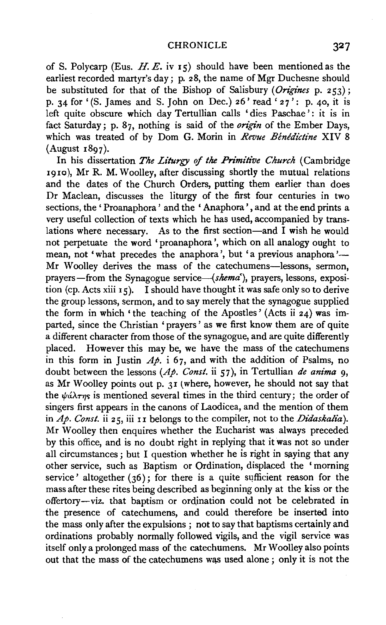of S. Polycarp (Eus. H. E. iv  $\mathsf{I}\xi$ ) should have been mentioned as the earliest recorded martyr's day; p. 28, the name of Mgr Duchesne should be substituted for that of the Bishop of Salisbury *(Origines* p. 253); p. 34 for '(S. James and S. John on Dec.) 26' read '  $27$ ': p. 40, it is left quite obscure which day Tertullian calls 'dies Paschae': it is in fact Saturday; p. 87, nothing is said of the *origin* of the Ember Days, which was treated of by Dom G. Morin in *Revue Benedictine* XIV 8 (August 1897).

In his dissertation *The Liturgy* of *the Primitive Church* (Cambridge 1910), Mr R. M. Woolley, after discussing shortly the mutual relations and the dates of the Church Orders, putting them earlier than does Dr Maclean, discusses the liturgy of the first four centuries in two sections, the 'Proanaphora' and the 'Anaphora', and at the end prints a very useful collection of texts which he has used, accompanied by translations where necessary. As to the first section-and I wish he would not perpetuate the word 'proanaphora ', which on all analogy ought to mean, not 'what precedes the anaphora', but 'a previous anaphora'— Mr Woolley derives the mass of the catechumens-lessons, sermon, prayers—from the Synagogue service—(shema'), prayers, lessons, exposition (cp. Acts xiii  $15$ ). I should have thought it was safe only so to derive the group lessons, sermon, and to say merely that the synagogue supplied the form in which 'the teaching of the Apostles' (Acts ii  $z_4$ ) was imparted, since the Christian ' prayers ' as we first know them are of quite a different character from those of the synagogue, and are quite differently placed. However this may be, we have the mass of the catechumens in this form in Justin  $A\phi$ , i 67, and with the addition of Psalms, no doubt between the lessons *(Ap. Const.* ii 57), in Tertullian *de anima* 9, as Mr Woolley points out p.  $31$  (where, however, he should not say that the  $\psi$ *a* $\lambda$ *rm*s is mentioned several times in the third century; the order of singers first appears in the canons of Laodicea, and the mention of them in  $Ap$ . Const. ii 25, iii 11 belongs to the compiler, not to the *Didaskalia*). Mr Woolley then enquires whether the Eucharist was always preceded by this office, and is no doubt right in replying that it was not so under all circumstances; but I question whether he is right in saying that any other service, such as Baptism or Ordination, displaced the 'morning service' altogether  $(36)$ ; for there is a quite sufficient reason for the mass after these rites being described as beginning only at the kiss or the offertory-viz. that baptism or ordination could not be celebrated in the presence of catechumens, and could therefore be inserted into the mass only after the expulsions ; not to say that baptisms certainly and ordinations probably normally followed vigils, and the vigil service was itself only a prolonged mass of the catechumens. Mr Woolley also points out that the mass of the catechumens was used alone ; only it is not the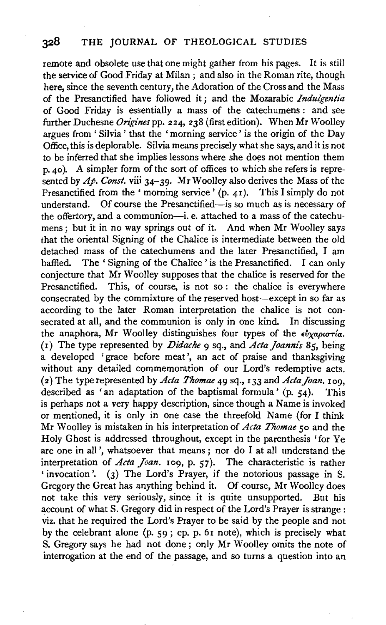remote and obsolete use that one might gather from his pages. It is still the service of Good Friday at Milan ; and also in the Roman rite, though here, since the seventh century, the Adoration of the Cross and the Mass of the Presanctified have followed it; and the Mozarabic *Indulgentia* of Good Friday is essentially a mass of the catechumens : and see further Duchesne *Origines* pp. 224, 238 (first edition). When Mr Woolley argues from 'Silvia' that the 'morning service' is the origin of the Day Office, this is deplorable. Silvia means precisely what she says, and it is not to be inferred that she implies lessons where she does not mention them p. 40 ). A simpler form of the sort of offices to which she refers is represented by  $A\phi$ . Const. viii 34-39. Mr Woolley also derives the Mass of the Presanctified from the ' morning service' (p. 41). This I simply do not understand. Of course the Presanctified—is so much as is necessary of the offertory, and a communion-i. e. attached to a mass of the catechumens; but it in no way springs out of it. And when Mr Woolley says that the oriental Signing of the Chalice is intermediate between the old detached mass of the catechumens and the later Presanctified, I am baffled. The 'Signing of the Chalice' is the Presanctified. I can only conjecture that Mr Woolley supposes that the chalice is reserved for the Presanctified. This, of course, is not so: the chalice is everywhere consecrated by the commixture of the reserved host--except in so far as according to the later Roman interpretation the chalice is not consecrated at all, and the communion is only in one kind. In discussing the anaphora, Mr Woolley distinguishes four types of the  $\epsilon_{v}^{v}$ *xapurría*. ( 1) The type represented by *Didache* 9 sq., and *Acta joanni's* 8 5, being a developed 'grace before meat', an act of praise and thanksgiving without any detailed commemoration of our Lord's redemptive acts. (2) The type represented by *Acta Thomae* 49 sq., 133 and *ActaJoan.* 109, described as 'an adaptation of the baptismal formula' (p. 54). This is perhaps not a very happy description, since though a Name is invoked or mentioned, it is only in one case the threefold Name (for I think Mr Woolley is mistaken in his interpretation of *Acta Thomae so* and the Holy Ghost is addressed throughout, except in the parenthesis 'for Ye are one in all', whatsoever that means; nor do I at all understand the interpretation of *Acta Joan.* 109, p. 57). The characteristic is rather ' invocation'. (3) The Lord's Prayer, if the notorious passage in S. Gregory the Great has anything behind it. Of course, Mr Woolley does not take this very seriously, since it is quite unsupported. But his account of what S. Gregory did in respect of the Lord's Prayer is strange: viz. that he required the Lord's Prayer to be said by the people and not by the celebrant alone (p. 59; cp. p. 61 note), which is precisely what S. Gregory says he had not done; only Mr Woolley omits the note of interrogation at the end of the passage, and so turns a question into an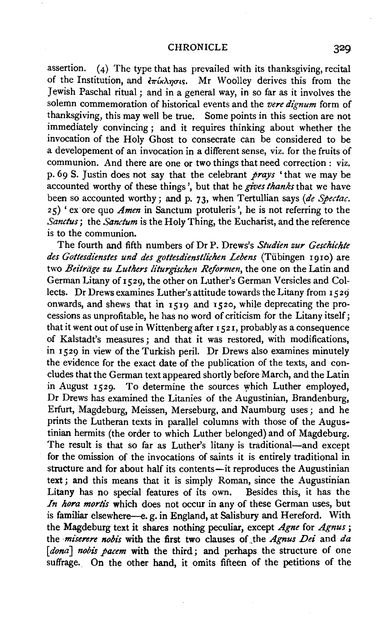assertion. (4) The type that has prevailed with its thanksgiving, recital of the Institution, and  $\frac{\partial \pi}{\partial x}$   $\frac{\partial \pi}{\partial y}$ . Mr Woolley derives this from the Jewish Paschal ritual; and in a general way, in so far as it involves the solemn commemoration of historical events and the *vere dignum* form of thanksgiving, this may well be true. Some points in this section are not immediately convincing ; and it requires thinking about whether the invocation of the Holy Ghost to consecrate can be considered to be a developement of an invocation in a different sense, viz. for the fruits of communion. And there are one or two things that need correction : viz. p. 69 S. Justin does not say that the celebrant *prays* 'that we may be accounted worthy of these things', but that he *gives thanks* that we have been so accounted worthy; and p. 73, when Tertullian says *(de Spectac.*  25) 'ex ore quo *Amen* in Sanctum protuleris ', he is not referring to the *Sanctus*; the *Sanctum* is the Holy Thing, the Eucharist, and the reference is to the communion.

The fourth and fifth numbers of Dr P. Drews's *Studien zur Geschichte des Gottesdienstes und des gottesdienstlichen Lebens* (Tiibingen I9IO) are two *Beiträge zu Luthers liturgischen Reformen*, the one on the Latin and German Litany of 1529, the other on Luther's German Versicles and Collects. Dr Drews examines Luther's attitude towards the Litany from 1529 onwards, and shews that in  $1519$  and  $1520$ , while deprecating the processions as unprofitable, he has no word of criticism for the Litany itself; that it went out of use in Wittenberg after 1521, probably as a consequence of Kalstadt's measures ; and that it was restored, with modifications, in I529 in view of the Turkish peril. Dr Drews also examines minutely the evidence for the exact date of the publication of the texts, and concludes that the German text appeared shortly before March, and the Latin in August I529. To determine the sources which Luther employed, Dr Drews has examined the Litanies of the Augustinian, Brandenburg, Erfurt, Magdeburg, Meissen, Merseburg, and Naumburg uses; and he prints the Lutheran texts in parallel columns with those of the Augustinian hermits (the order to which Luther belonged) and of Magdeburg. The result is that so far as Luther's litany is traditional-and except for the omission of the invocations of saints it is entirely traditional in structure and for about half its contents-it reproduces the Augustinian text ; and this means that it is simply Roman, since the Augustinian Litany has no special features of its own. Besides this, it has the *In hora mortis* which does not occur in any of these German uses, but is familiar elsewhere-e. g. in England, at Salisbury and Hereford. With the Magdeburg text it shares nothing peculiar, except *Agne* for *Agnus* ; the *miserere nobis* with the first two clauses of.the *Agnus Dei* and *da*  [dona] nobis pacem with the third; and perhaps the structure of one suffrage. On the other hand, it omits fifteen of the petitions of the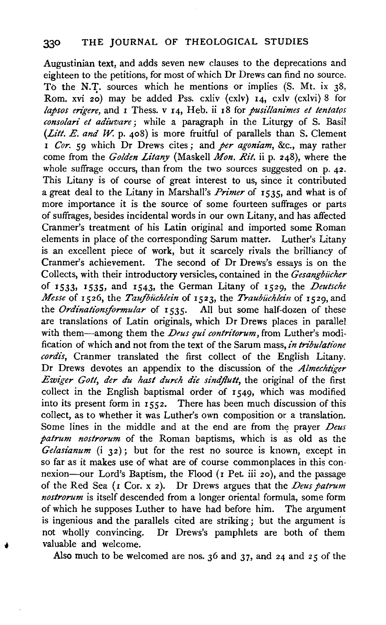Augustinian text, and adds seven new clauses to the deprecations and eighteen to the petitions, for most of which Dr Drews can find no source. To the N.T. sources which he mentions or implies (S. Mt. ix 38, Rom. xvi *zo*) may be added Pss. cxliv (cxlv) 14, cxlv (cxlvi) 8 for *lapsos erigere,* and 1 Thess. v I4, Heb. ii z8 for *pusillanimes et tentatos consolari et adiuvare;* while a paragraph in the Liturgy of S. Basil *(Lilt. E. and* W. p. 408) is more fruitful of parallels than S. Clement <sup>I</sup>*Cor. 59* which Dr Drews cites; and *per agoniam,* &c., may rather come from the *Golden Litany* (Maskell *Mon. Rit.* ii p. 248), where the whole suffrage occurs, than from the two sources suggested on p. 42. This Litany is of course of great interest to us, since it contributed a great deal to the Litany in Marshall's *Primer* of I53S, and what is of more importance it is the source of some fourteen suffrages or parts of suffrages, besides incidental words in our own Litany, and has affected Cranmer's treatment of his Latin original and imported some Roman elements in place of the corresponding Sarum matter. Luther's Litany is an excellent piece of work, but it scarcely rivals the brilliancy of Cranmer's achievement. The second of Dr Drews's essays is on the Collects, with their introductory versicles, contained in the *Gesangbiicher*  of I533• I535, and I543, the German Litany of I529, the *Deutsche Messe* of 1526, the *Taufbüchlein* of 1523, the *Traubüchlein* of 1529, and the *Ordinationsformular* of 1535. All but some half-dozen of these are translations of Latin originals, which Dr Drews places in parallel with them-among them the *Deus qui contritorum*, from Luther's modification of which and not from the text of the Sarum mass, *in tribulatione cordis,* Cranmer translated the first collect of the English Litany. Dr Drews devotes an appendix to the discussion of the *Almechtiger Ewiger Gott, der du hast durch die sindjlutt,* the original of the first collect in the English baptismal order of 1549, which was modified into its present form in 1552. There has been much discussion of this collect, as to whether it was Luther's own composition or a translation. Some lines in the middle and at the end are from the prayer *Deus patrum nostrorum* of the Roman baptisms, which is as old as the *Gelasianum* (i 32); but for the rest no source is known, except in so far as it makes use of what are of course commonplaces in this connexion-our Lord's Baptism, the Flood  $(1$  Pet iii 20), and the passage of the Red Sea (I Cor. x 2 ). Dr Drews argues that the *Deus patrum nostrorum* is itself descended from a longer oriental formula, some form of which he supposes Luther to have had before him. The argument is ingenious and the parallels cited are striking; but the argument is not wholly convincing. Dr Drews's pamphlets are both of them valuable and welcome.

Also much to be welcomed are nos. 36 and 37, and 24 and 25 of the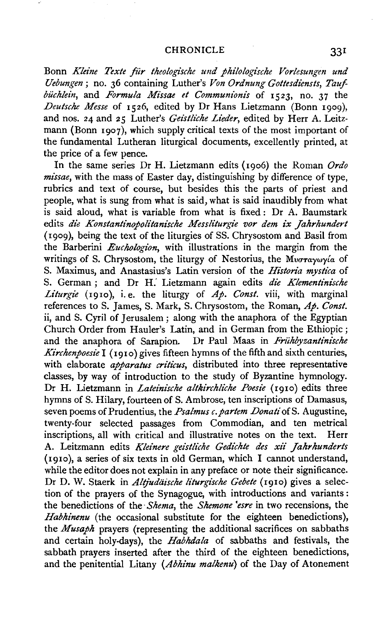#### CHRONICLE 331

Bonn *Kleine Texte für theologische und philologische Vorlesungen und Uebungen* ; no. 36 containing Luther's *Von Ordnung Gottesdiensts, Taufbiichlein,* and *Formula Missae et Communionis* of 1523, no. 37 the *Deutsche Messe* of 1526, edited by Dr Hans Lietzmann (Bonn 1000). and nos. 24 and 25 Luther's *Geistliche Lieder*, edited by Herr A. Leitzmann (Bonn 1907), which supply critical texts of the most important of the fundamental Lutheran liturgical documents, excellently printed, at the price of a few pence.

In the same series Dr H. Lietzmann edits (I9o6) the Roman *Ordo missae,* with the mass of Easter day, distinguishing by difference of type, rubrics and text of course, but besides this the parts of priest and people, what is sung from what is said, what is said inaudibly from what is said aloud, what is variable from what is fixed : Dr A. Baumstark edits *die Konstantinopolitanische Messliturgie vor dem ix Jahrhundert*  (I909), being the text of the liturgies of SS. Chrysostom and Basil from the Barberini *Euchologion,* with illustrations in the margin from the writings of S. Chrysostom, the liturgy of Nestorius, the Mv $\sigma$ raywy $\alpha$  of S. Maximus, and Anastasius's Latin version of the *Historia mystica* of S. German ; and Dr H.' Lietzmann again edits *die Klementinische Liturgie* (1910), i.e. the liturgy of  $\overrightarrow{Ap}$ . Const. viii, with marginal references to S. James, S. Mark, S. Chrysostom, the Roman, *Ap. Const.*  ii, and S. Cyril of Jerusalem : along with the anaphora of the Egyptian Church Order from Hauler's Latin, and in German from the Ethiopic ; and the anaphora of Sarapion. Dr Paul Maas in *Friihbyzantini'sche Kirchenpoesie* **I** (1910) gives fifteen hymns of the fifth and sixth centuries, with elaborate *apparatus criticus,* distributed into three representative classes, by way of introduction to the study of Byzantine hymnology. Dr H. Lietzmann in *Lateinische altkirchliche Poesie* (1910) edits three hymns of S. Hilary, fourteen of S. Ambrose, ten inscriptions of Damasus, seven poems of Prudentius, the *Psalmus c. partem Donati* of S. Augustine, twenty-four selected passages from Commodian, and ten metrical inscriptions, all with critical and illustrative notes on the text. Herr A. Leitzmann edits *Kleinere geistliche Gedichte des xii Jahrhunderts* (I9Io), a series of six texts in old German, which I cannot understand, while the editor does not explain in any preface or note their significance. Dr D. W. Staerk in *Altjudäische liturgische Gebete* (1910) gives a selection of the prayers of the Synagogue, with introductions and variants : the benedictions of the · *Shema,* the *Shemone 'esre* in two recensions, the *Habhinenu* (the occasional substitute for the eighteen benedictions}, the *Musaph* prayers (representing the additional sacrifices on sabbaths and certain holy-days), the *Habhdala* of sabbaths and festivals, the sabbath prayers inserted after the third of the eighteen benedictions, and the penitential Litany *(Abhinu malkenu)* of the Day of Atonement